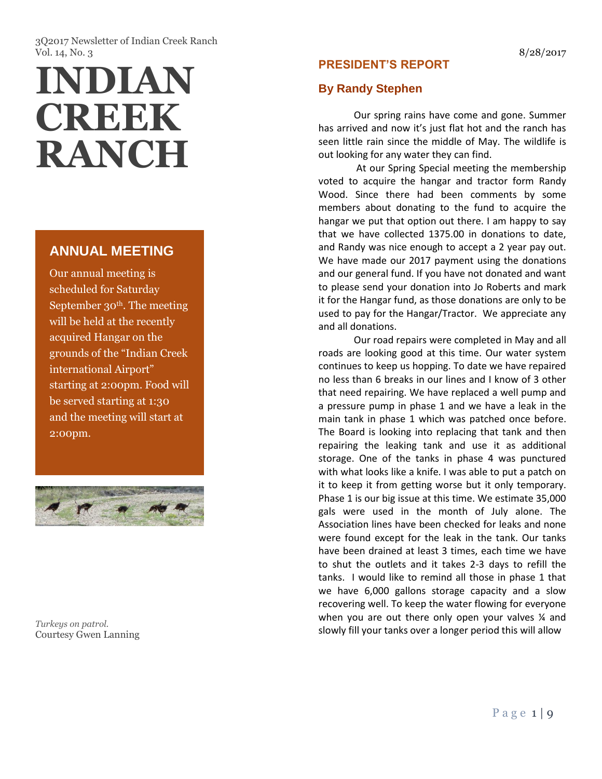3Q2017 Newsletter of Indian Creek Ranch Vol. 14, No. 3 8/28/2017

# **INDIAN CREEK RANCH**

# **ANNUAL MEETING**

Our annual meeting is scheduled for Saturday September  $30<sup>th</sup>$ . The meeting will be held at the recently acquired Hangar on the grounds of the "Indian Creek international Airport" starting at 2:00pm. Food will be served starting at 1:30 and the meeting will start at 2:00pm.



*Turkeys on patrol.* Courtesy Gwen Lanning

# **PRESIDENT'S REPORT**

# **By Randy Stephen**

Our spring rains have come and gone. Summer has arrived and now it's just flat hot and the ranch has seen little rain since the middle of May. The wildlife is out looking for any water they can find.

At our Spring Special meeting the membership voted to acquire the hangar and tractor form Randy Wood. Since there had been comments by some members about donating to the fund to acquire the hangar we put that option out there. I am happy to say that we have collected 1375.00 in donations to date, and Randy was nice enough to accept a 2 year pay out. We have made our 2017 payment using the donations and our general fund. If you have not donated and want to please send your donation into Jo Roberts and mark it for the Hangar fund, as those donations are only to be used to pay for the Hangar/Tractor. We appreciate any and all donations.

Our road repairs were completed in May and all roads are looking good at this time. Our water system continues to keep us hopping. To date we have repaired no less than 6 breaks in our lines and I know of 3 other that need repairing. We have replaced a well pump and a pressure pump in phase 1 and we have a leak in the main tank in phase 1 which was patched once before. The Board is looking into replacing that tank and then repairing the leaking tank and use it as additional storage. One of the tanks in phase 4 was punctured with what looks like a knife. I was able to put a patch on it to keep it from getting worse but it only temporary. Phase 1 is our big issue at this time. We estimate 35,000 gals were used in the month of July alone. The Association lines have been checked for leaks and none were found except for the leak in the tank. Our tanks have been drained at least 3 times, each time we have to shut the outlets and it takes 2-3 days to refill the tanks. I would like to remind all those in phase 1 that we have 6,000 gallons storage capacity and a slow recovering well. To keep the water flowing for everyone when you are out there only open your valves % and slowly fill your tanks over a longer period this will allow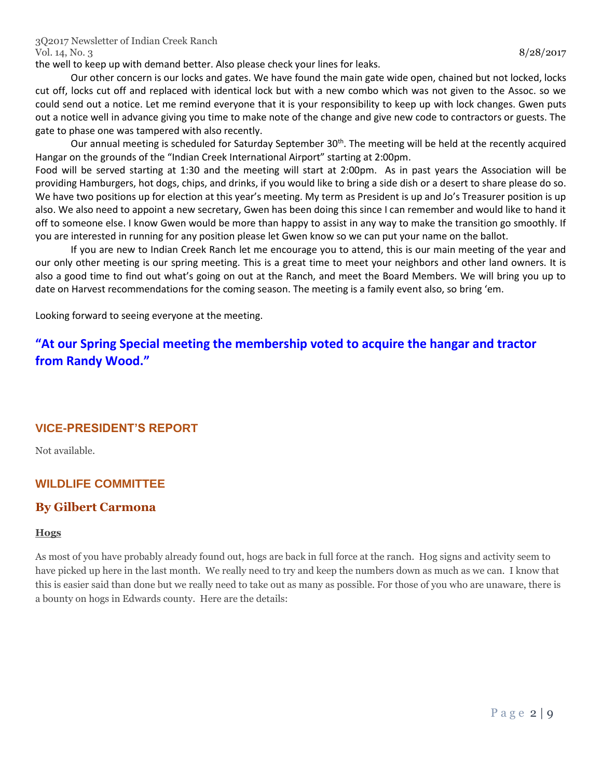the well to keep up with demand better. Also please check your lines for leaks.

Our other concern is our locks and gates. We have found the main gate wide open, chained but not locked, locks cut off, locks cut off and replaced with identical lock but with a new combo which was not given to the Assoc. so we could send out a notice. Let me remind everyone that it is your responsibility to keep up with lock changes. Gwen puts out a notice well in advance giving you time to make note of the change and give new code to contractors or guests. The gate to phase one was tampered with also recently.

Our annual meeting is scheduled for Saturday September 30<sup>th</sup>. The meeting will be held at the recently acquired Hangar on the grounds of the "Indian Creek International Airport" starting at 2:00pm.

Food will be served starting at 1:30 and the meeting will start at 2:00pm. As in past years the Association will be providing Hamburgers, hot dogs, chips, and drinks, if you would like to bring a side dish or a desert to share please do so. We have two positions up for election at this year's meeting. My term as President is up and Jo's Treasurer position is up also. We also need to appoint a new secretary, Gwen has been doing this since I can remember and would like to hand it off to someone else. I know Gwen would be more than happy to assist in any way to make the transition go smoothly. If you are interested in running for any position please let Gwen know so we can put your name on the ballot.

If you are new to Indian Creek Ranch let me encourage you to attend, this is our main meeting of the year and our only other meeting is our spring meeting. This is a great time to meet your neighbors and other land owners. It is also a good time to find out what's going on out at the Ranch, and meet the Board Members. We will bring you up to date on Harvest recommendations for the coming season. The meeting is a family event also, so bring 'em.

Looking forward to seeing everyone at the meeting.

# **"At our Spring Special meeting the membership voted to acquire the hangar and tractor from Randy Wood."**

# **VICE-PRESIDENT'S REPORT**

Not available.

# **WILDLIFE COMMITTEE**

# **By Gilbert Carmona**

#### **Hogs**

As most of you have probably already found out, hogs are back in full force at the ranch. Hog signs and activity seem to have picked up here in the last month. We really need to try and keep the numbers down as much as we can. I know that this is easier said than done but we really need to take out as many as possible. For those of you who are unaware, there is a bounty on hogs in Edwards county. Here are the details: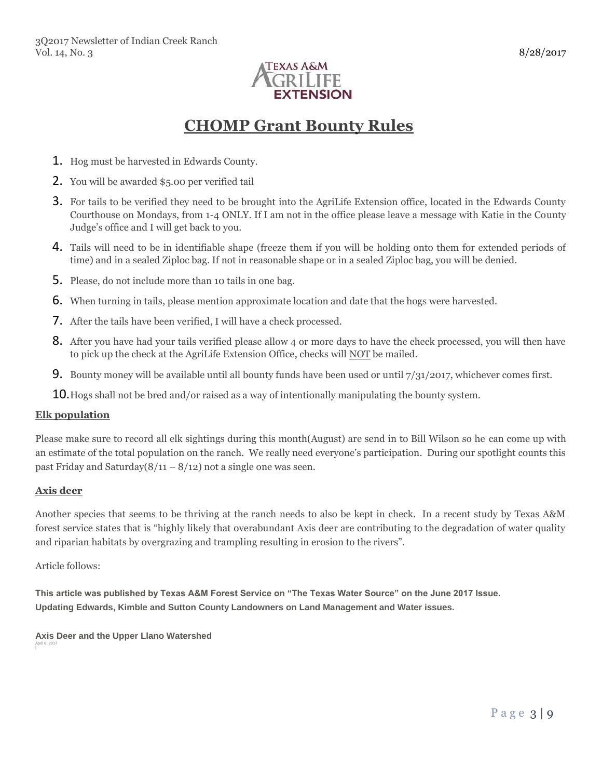

# **CHOMP Grant Bounty Rules**

- 1. Hog must be harvested in Edwards County.
- 2. You will be awarded \$5.00 per verified tail
- 3. For tails to be verified they need to be brought into the AgriLife Extension office, located in the Edwards County Courthouse on Mondays, from 1-4 ONLY. If I am not in the office please leave a message with Katie in the County Judge's office and I will get back to you.
- 4. Tails will need to be in identifiable shape (freeze them if you will be holding onto them for extended periods of time) and in a sealed Ziploc bag. If not in reasonable shape or in a sealed Ziploc bag, you will be denied.
- 5. Please, do not include more than 10 tails in one bag.
- 6. When turning in tails, please mention approximate location and date that the hogs were harvested.
- 7. After the tails have been verified, I will have a check processed.
- 8. After you have had your tails verified please allow 4 or more days to have the check processed, you will then have to pick up the check at the AgriLife Extension Office, checks will NOT be mailed.
- **9.** Bounty money will be available until all bounty funds have been used or until  $7/31/2017$ , whichever comes first.
- **10.** Hogs shall not be bred and/or raised as a way of intentionally manipulating the bounty system.

#### **Elk population**

Please make sure to record all elk sightings during this month(August) are send in to Bill Wilson so he can come up with an estimate of the total population on the ranch. We really need everyone's participation. During our spotlight counts this past Friday and Saturday $(8/11 - 8/12)$  not a single one was seen.

#### **Axis deer**

Another species that seems to be thriving at the ranch needs to also be kept in check. In a recent study by Texas A&M forest service states that is "highly likely that overabundant Axis deer are contributing to the degradation of water quality and riparian habitats by overgrazing and trampling resulting in erosion to the rivers".

Article follows:

**This article was published by Texas A&M Forest Service on "The Texas Water Source" on the June 2017 Issue. Updating Edwards, Kimble and Sutton County Landowners on Land Management and Water issues.**

**Axis Deer and the Upper Llano Watershed** April 6, 2017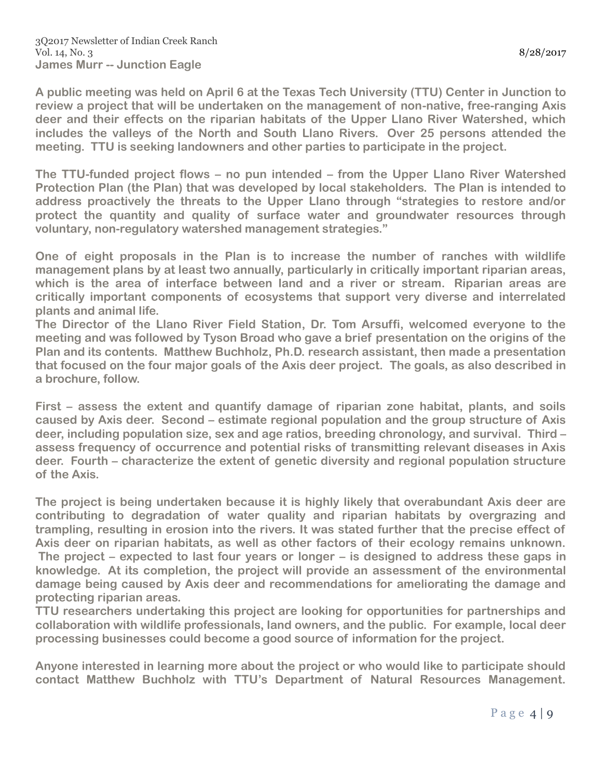**A public meeting was held on April 6 at the Texas Tech University (TTU) Center in Junction to review a project that will be undertaken on the management of non-native, free-ranging Axis deer and their effects on the riparian habitats of the Upper Llano River Watershed, which includes the valleys of the North and South Llano Rivers. Over 25 persons attended the meeting. TTU is seeking landowners and other parties to participate in the project.**

**The TTU-funded project flows – no pun intended – from the Upper Llano River Watershed Protection Plan (the Plan) that was developed by local stakeholders. The Plan is intended to address proactively the threats to the Upper Llano through "strategies to restore and/or protect the quantity and quality of surface water and groundwater resources through voluntary, non-regulatory watershed management strategies."**

**One of eight proposals in the Plan is to increase the number of ranches with wildlife management plans by at least two annually, particularly in critically important riparian areas, which is the area of interface between land and a river or stream. Riparian areas are critically important components of ecosystems that support very diverse and interrelated plants and animal life.**

**The Director of the Llano River Field Station, Dr. Tom Arsuffi, welcomed everyone to the meeting and was followed by Tyson Broad who gave a brief presentation on the origins of the Plan and its contents. Matthew Buchholz, Ph.D. research assistant, then made a presentation that focused on the four major goals of the Axis deer project. The goals, as also described in a brochure, follow.**

**First – assess the extent and quantify damage of riparian zone habitat, plants, and soils caused by Axis deer. Second – estimate regional population and the group structure of Axis deer, including population size, sex and age ratios, breeding chronology, and survival. Third – assess frequency of occurrence and potential risks of transmitting relevant diseases in Axis deer. Fourth – characterize the extent of genetic diversity and regional population structure of the Axis.**

**The project is being undertaken because it is highly likely that overabundant Axis deer are contributing to degradation of water quality and riparian habitats by overgrazing and trampling, resulting in erosion into the rivers. It was stated further that the precise effect of Axis deer on riparian habitats, as well as other factors of their ecology remains unknown. The project – expected to last four years or longer – is designed to address these gaps in knowledge. At its completion, the project will provide an assessment of the environmental damage being caused by Axis deer and recommendations for ameliorating the damage and protecting riparian areas.**

**TTU researchers undertaking this project are looking for opportunities for partnerships and collaboration with wildlife professionals, land owners, and the public. For example, local deer processing businesses could become a good source of information for the project.**

**Anyone interested in learning more about the project or who would like to participate should contact Matthew Buchholz with TTU's Department of Natural Resources Management.**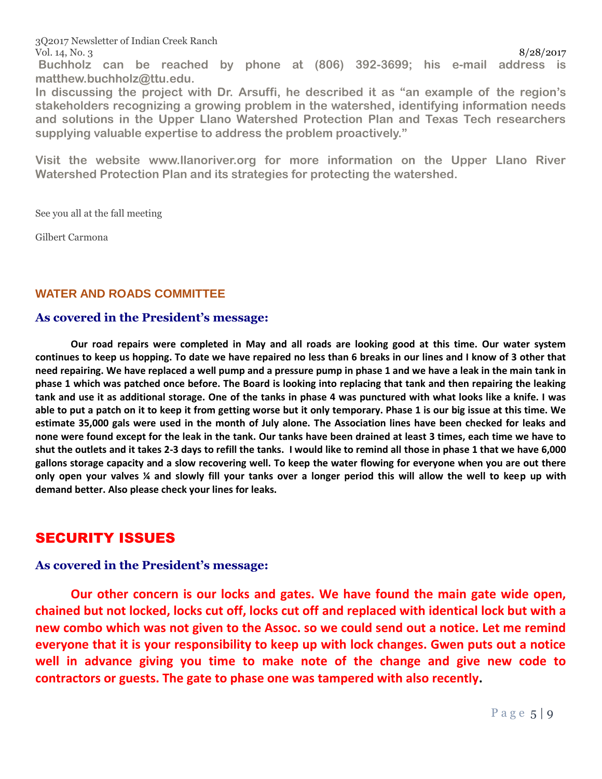3Q2017 Newsletter of Indian Creek Ranch Vol. 14, No. 3 8/28/2017

**Buchholz can be reached by phone at (806) 392-3699; his e-mail address is matthew.buchholz@ttu.edu.**

**In discussing the project with Dr. Arsuffi, he described it as "an example of the region's stakeholders recognizing a growing problem in the watershed, identifying information needs and solutions in the Upper Llano Watershed Protection Plan and Texas Tech researchers supplying valuable expertise to address the problem proactively."**

**Visit the website www.llanoriver.org for more information on the Upper Llano River Watershed Protection Plan and its strategies for protecting the watershed.**

See you all at the fall meeting

Gilbert Carmona

# **WATER AND ROADS COMMITTEE**

#### **As covered in the President's message:**

**Our road repairs were completed in May and all roads are looking good at this time. Our water system continues to keep us hopping. To date we have repaired no less than 6 breaks in our lines and I know of 3 other that need repairing. We have replaced a well pump and a pressure pump in phase 1 and we have a leak in the main tank in phase 1 which was patched once before. The Board is looking into replacing that tank and then repairing the leaking tank and use it as additional storage. One of the tanks in phase 4 was punctured with what looks like a knife. I was able to put a patch on it to keep it from getting worse but it only temporary. Phase 1 is our big issue at this time. We estimate 35,000 gals were used in the month of July alone. The Association lines have been checked for leaks and none were found except for the leak in the tank. Our tanks have been drained at least 3 times, each time we have to shut the outlets and it takes 2-3 days to refill the tanks. I would like to remind all those in phase 1 that we have 6,000 gallons storage capacity and a slow recovering well. To keep the water flowing for everyone when you are out there only open your valves ¼ and slowly fill your tanks over a longer period this will allow the well to keep up with demand better. Also please check your lines for leaks.** 

# SECURITY ISSUES

#### **As covered in the President's message:**

**Our other concern is our locks and gates. We have found the main gate wide open, chained but not locked, locks cut off, locks cut off and replaced with identical lock but with a new combo which was not given to the Assoc. so we could send out a notice. Let me remind everyone that it is your responsibility to keep up with lock changes. Gwen puts out a notice well in advance giving you time to make note of the change and give new code to contractors or guests. The gate to phase one was tampered with also recently.**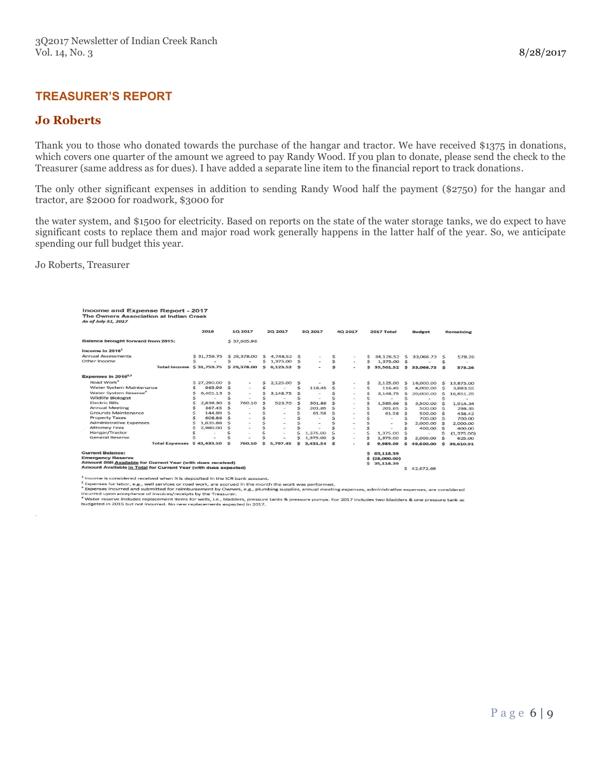#### **TREASURER'S REPORT**

#### **Jo Roberts**

Thank you to those who donated towards the purchase of the hangar and tractor. We have received \$1375 in donations, which covers one quarter of the amount we agreed to pay Randy Wood. If you plan to donate, please send the check to the Treasurer (same address as for dues). I have added a separate line item to the financial report to track donations.

The only other significant expenses in addition to sending Randy Wood half the payment (\$2750) for the hangar and tractor, are \$2000 for roadwork, \$3000 for

the water system, and \$1500 for electricity. Based on reports on the state of the water storage tanks, we do expect to have significant costs to replace them and major road work generally happens in the latter half of the year. So, we anticipate spending our full budget this year.

Jo Roberts, Treasurer

| Income and Expense Report - 2017<br>The Owners Association at Indian Creek<br>As of July 31, 2017                                                                                      |               |                                    |     |                          |    |                          |    |                          |                 |                                       |    |               |          |                  |
|----------------------------------------------------------------------------------------------------------------------------------------------------------------------------------------|---------------|------------------------------------|-----|--------------------------|----|--------------------------|----|--------------------------|-----------------|---------------------------------------|----|---------------|----------|------------------|
|                                                                                                                                                                                        | 2016          | 10 2017                            |     | <b>2Q 2017</b>           |    | 3Q 2017                  |    | 4Q 2017                  |                 | 2017 Total                            |    | <b>Budget</b> |          | <b>Remaining</b> |
| Balance brought forward from 2015:                                                                                                                                                     |               | \$37,605.96                        |     |                          |    |                          |    |                          |                 |                                       |    |               |          |                  |
| Income in 2016 <sup>1</sup>                                                                                                                                                            |               |                                    |     |                          |    |                          |    |                          |                 |                                       |    |               |          |                  |
| <b>Annual Assessments</b>                                                                                                                                                              | \$31,759,75   | \$29,378,00                        | S   | 4,748.52                 | S  |                          | \$ | $\overline{\phantom{a}}$ | \$.             | 34,126.52                             | s  | 33,066,73     | -S       | 578.26           |
| Other Income                                                                                                                                                                           | Ś             | Ś                                  | Ś   | 1,375.00                 | s  | $\overline{\phantom{a}}$ | \$ | $\overline{\phantom{a}}$ | Ś.              | 1,375.00                              | Ś  |               | s        |                  |
| Total Income \$31,759.75                                                                                                                                                               |               | \$29,378.00                        |     | \$6,123.52               | S  | $\overline{\phantom{a}}$ | Ś  | $\overline{\phantom{a}}$ | Ś.              | 35,501.52                             | s  | 33,066,73     | <b>S</b> | 578.26           |
| Expenses in 2016 <sup>2,3</sup>                                                                                                                                                        |               |                                    |     |                          |    |                          |    |                          |                 |                                       |    |               |          |                  |
| Road Work <sup>5</sup>                                                                                                                                                                 | \$27,290.00   | S<br>۰                             | \$. | 2.125.00                 | S  |                          |    |                          | \$              | 2.125.00                              | S  | 16,000.00     | s        | 13,875,00        |
| Water System Maintenance                                                                                                                                                               | 965.99        | Ś<br>٠                             | Ś   |                          | Ś  | 116.45                   | Ś  | $\sim$                   | Ś               | 116.45                                | Ś  | 4,000,00      | Ś        | 3,883.55         |
| Water System Reserve <sup>4</sup>                                                                                                                                                      | 6,401.13<br>Ś | Ś<br>۰                             | s   | 3.148.75                 |    |                          |    | $\overline{\phantom{a}}$ | \$              | 3,148.75                              | Ś  | 20,000,00     | S        | 16,851.25        |
| <b>Wildlife Biologist</b>                                                                                                                                                              |               |                                    |     |                          |    |                          |    | $\sim$                   |                 |                                       |    |               |          |                  |
| <b>Electric Bills</b>                                                                                                                                                                  | 2,839.30      | Ś<br>760.10                        | Ś   | 523.70                   | S  | 301.86                   | Ś  | ٠                        |                 | 1,585.66                              | Ś  | 3,500.00      | <b>S</b> | 1.914.34         |
| <b>Annual Meeting</b>                                                                                                                                                                  | 367.45        | Ś                                  |     |                          | \$ | 201.65                   | Ś  | $\sim$                   |                 | 201.65                                | Ś  | 500.00        | S        | 298.35           |
| Grounds Maintenance                                                                                                                                                                    | 144.89        | Ś                                  |     |                          |    | 61.58                    | ۹  |                          |                 | 61.58                                 | Ŝ  | 500,00        | $\leq$   | 438.42           |
| <b>Property Taxes</b>                                                                                                                                                                  | 608.86        | Ś<br>$\blacksquare$                |     | $\sim$                   |    | $\sim$                   |    | $\overline{\phantom{a}}$ |                 |                                       |    | 700.00        | $\leq$   | 700.00           |
| <b>Administrative Expenses</b>                                                                                                                                                         | 1,835,88<br>s | $\leq$<br>$\overline{\phantom{a}}$ |     | $\overline{\phantom{a}}$ |    |                          |    | $\overline{\phantom{a}}$ |                 |                                       |    | 2,000.00      | S        | 2,000,00         |
| <b>Attorney Fees</b>                                                                                                                                                                   | 2,980.00      | $\overline{\phantom{a}}$           |     | $\sim$                   |    |                          |    | $\sim$                   |                 |                                       |    | 400.00        | S        | 400.00           |
| Hangar/Tractor                                                                                                                                                                         |               | $\overline{\phantom{a}}$           |     | $\sim$                   |    | 1,375.00                 | Ś  | ×                        |                 | 1,375,00                              |    |               | ⋖        | (1,375.00)       |
| General Reserve                                                                                                                                                                        |               |                                    |     |                          |    | 1,375.00                 | Ś  | $\overline{\phantom{a}}$ |                 | 1,375.00                              |    | 2,000.00      | Ś        | 625.00           |
| <b>Total Expenses \$43,433.50</b>                                                                                                                                                      |               | Ś<br>760.10                        | Ś   | 5,797.45                 | s  | 3,431.54                 | S  | <b>Sec</b>               |                 | 9,989.09                              | Ś  | 49,600.00     | Ś        | 39,610.91        |
| <b>Current Balance:</b><br><b>Emergency Reserve</b><br>Amount Still Available for Current Year (with dues received)<br>Amount Available in Total for Current Year (with dues expected) |               |                                    |     |                          |    |                          |    |                          | Ś.<br>\$.<br>\$ | 63,118.39<br>(28,000,00)<br>35,118,39 | s. | 42,672,69     |          |                  |

come is considered received when it is deposited in the ICR bank account.

s noone so to solve the transfer of the supposed in the non-the menth the work was performed.<br>
I Repenses for labor, e.g., well services or road work, are accrued in the month the work was performed.<br>
I Repenses for labor,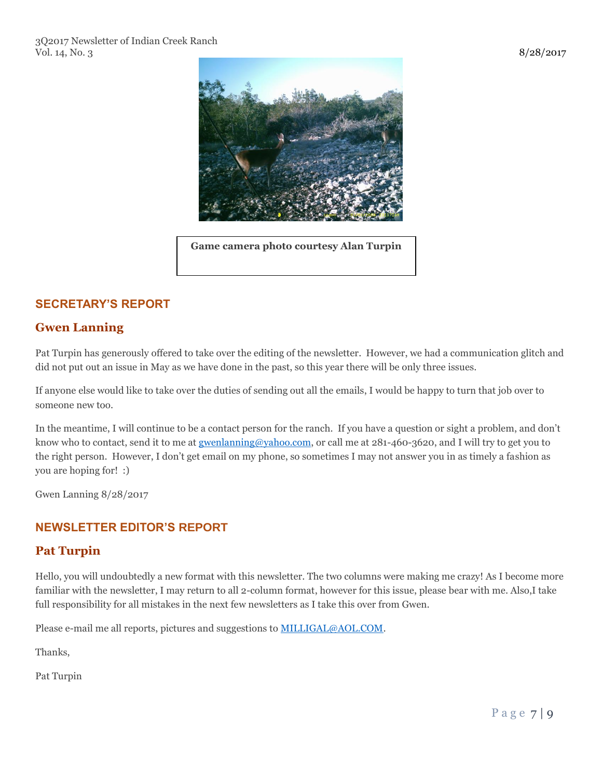

**Game camera photo courtesy Alan Turpin**

# **SECRETARY'S REPORT**

# **Gwen Lanning**

Pat Turpin has generously offered to take over the editing of the newsletter. However, we had a communication glitch and did not put out an issue in May as we have done in the past, so this year there will be only three issues.

If anyone else would like to take over the duties of sending out all the emails, I would be happy to turn that job over to someone new too.

In the meantime, I will continue to be a contact person for the ranch. If you have a question or sight a problem, and don't know who to contact, send it to me at [gwenlanning@yahoo.com,](mailto:gwenlanning@yahoo.com) or call me at 281-460-3620, and I will try to get you to the right person. However, I don't get email on my phone, so sometimes I may not answer you in as timely a fashion as you are hoping for! :)

Gwen Lanning 8/28/2017

# **NEWSLETTER EDITOR'S REPORT**

# **Pat Turpin**

Hello, you will undoubtedly a new format with this newsletter. The two columns were making me crazy! As I become more familiar with the newsletter, I may return to all 2-column format, however for this issue, please bear with me. Also,I take full responsibility for all mistakes in the next few newsletters as I take this over from Gwen.

Please e-mail me all reports, pictures and suggestions to **MILLIGAL@AOL.COM**.

Thanks,

Pat Turpin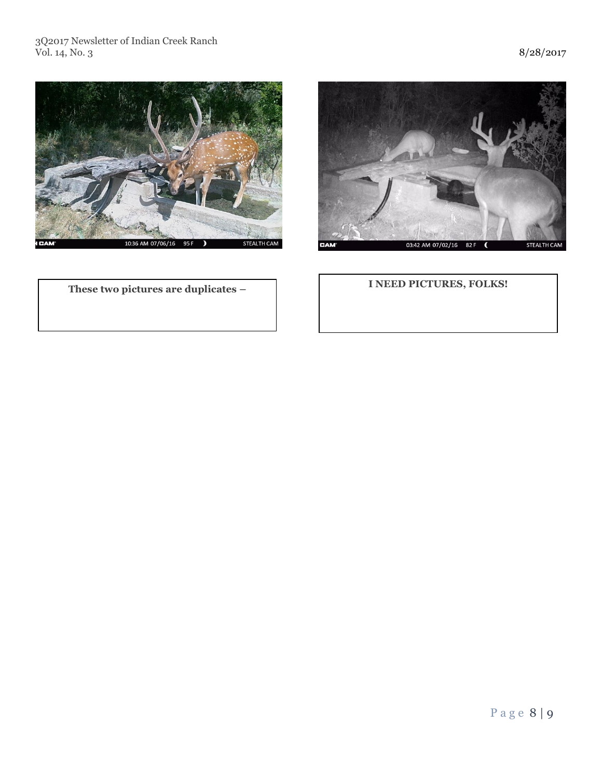#### 3Q2017 Newsletter of Indian Creek Ranch Vol. 14, No. 3 8/28/2017



**These two pictures are duplicates –**



# **I NEED PICTURES, FOLKS!**